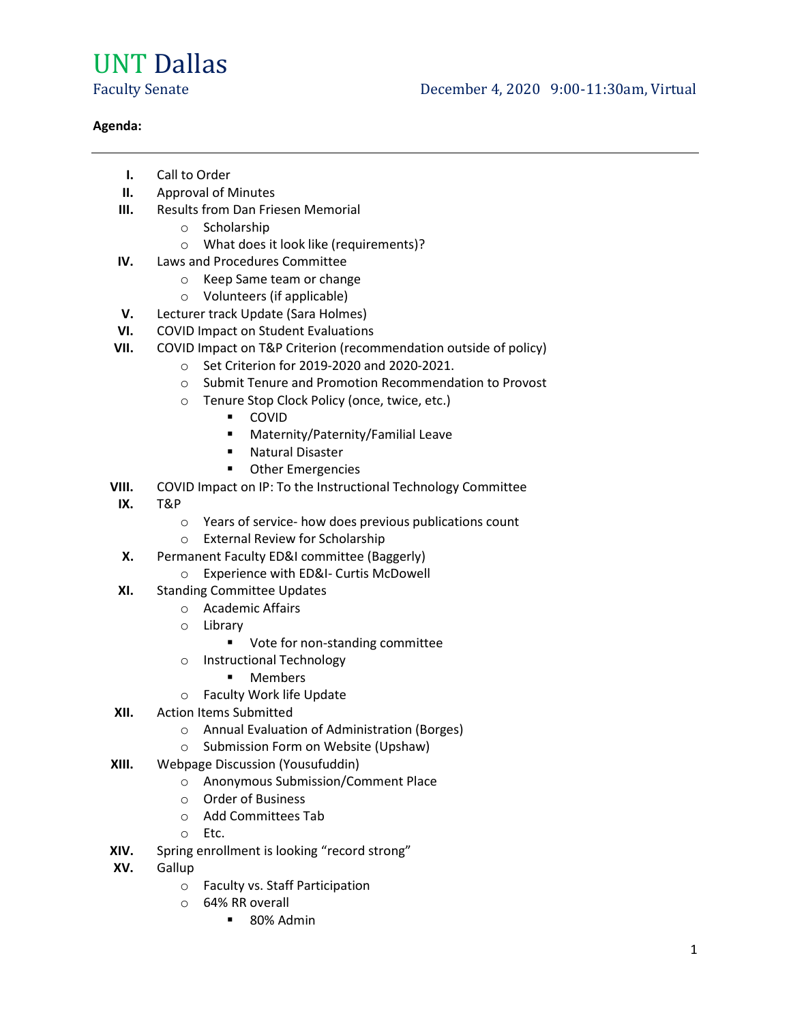## UNT Dallas

## Agenda:

- I. Call to Order
- II. Approval of Minutes
- **III.** Results from Dan Friesen Memorial
	- o Scholarship
	- o What does it look like (requirements)?
- IV. Laws and Procedures Committee
	- o Keep Same team or change
	- o Volunteers (if applicable)
- V. Lecturer track Update (Sara Holmes)
- VI. COVID Impact on Student Evaluations
- VII. COVID Impact on T&P Criterion (recommendation outside of policy)
	- o Set Criterion for 2019-2020 and 2020-2021.
	- o Submit Tenure and Promotion Recommendation to Provost
	- o Tenure Stop Clock Policy (once, twice, etc.)
		- COVID
			- **Maternity/Paternity/Familial Leave**
		- **Natural Disaster**
		- **•** Other Emergencies
- VIII. COVID Impact on IP: To the Instructional Technology Committee
- IX. T&P
	- o Years of service- how does previous publications count
	- o External Review for Scholarship
- X. Permanent Faculty ED&I committee (Baggerly)
	- o Experience with ED&I- Curtis McDowell
- XI. Standing Committee Updates
	- o Academic Affairs
	- o Library
		- Vote for non-standing committee
	- o Instructional Technology
		- **Members**
	- o Faculty Work life Update
- XII. Action Items Submitted
	- o Annual Evaluation of Administration (Borges)
	- o Submission Form on Website (Upshaw)
- XIII. Webpage Discussion (Yousufuddin)
	- o Anonymous Submission/Comment Place
	- o Order of Business
	- o Add Committees Tab
	- o Etc.
- XIV. Spring enrollment is looking "record strong"
- XV. Gallup
	- o Faculty vs. Staff Participation
	- o 64% RR overall
		- 80% Admin